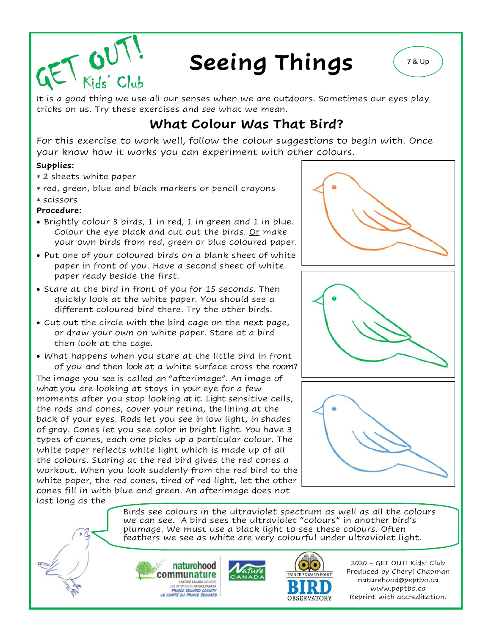

# **Seeing Things**  $(780)$

It is a good thing we use all our senses when we are outdoors. Sometimes our eyes play tricks on us. Try these exercises and *see* what we mean.

## **What Colour Was That Bird?**

For this exercise to work well, follow the colour suggestions to begin with. Once your know how it works you can experiment with other colours.

#### **Supplies:**

- 2 sheets white paper
- red, green, blue and black markers or pencil crayons
- scissors
- **Procedure:**
- Brightly colour 3 birds, 1 in red, 1 in green and 1 in blue. Colour the eye black and cut out the birds. Or make your own birds from red, green or blue coloured paper.
- Put one of your coloured birds on a blank sheet of white paper in front of you. Have a second sheet of white paper ready beside the first.
- Stare at the bird in front of you for 15 seconds. Then quickly look at the white paper. You should see a different coloured bird there. Try the other birds.
- Cut out the circle with the bird cage on the next page, or draw your own on white paper. Stare at a bird then look at the cage.
- What happens when you stare at the little bird in front of you and then look at a white surface cross the room?

The image you see is called an "afterimage". An image of what you are looking at stays in your eye for a few moments after you stop looking at it. Light sensitive cells, the rods and cones, cover your retina, the lining at the back of your eyes. Rods let you see in low light, in shades of gray. Cones let you see color in bright light. You have 3 types of cones, each one picks up a particular colour. The white paper reflects white light which is made up of all the colours. Staring at the red bird gives the red cones a workout. When you look suddenly from the red bird to the white paper, the red cones, tired of red light, let the other cones fill in with blue and green. An afterimage does not last long as the







Birds see colours in the ultraviolet spectrum as well as all the colours we can see. A bird sees the ultraviolet "colours" in another bird's plumage. We must use a black light to see these colours. Often feathers we see as white are very colourful under ultraviolet light.





2020 - GET OUT! Kids' Club Produced by Cheryl Chapman naturehood@peptbo.ca www.peptbo.ca Reprint with accreditation.